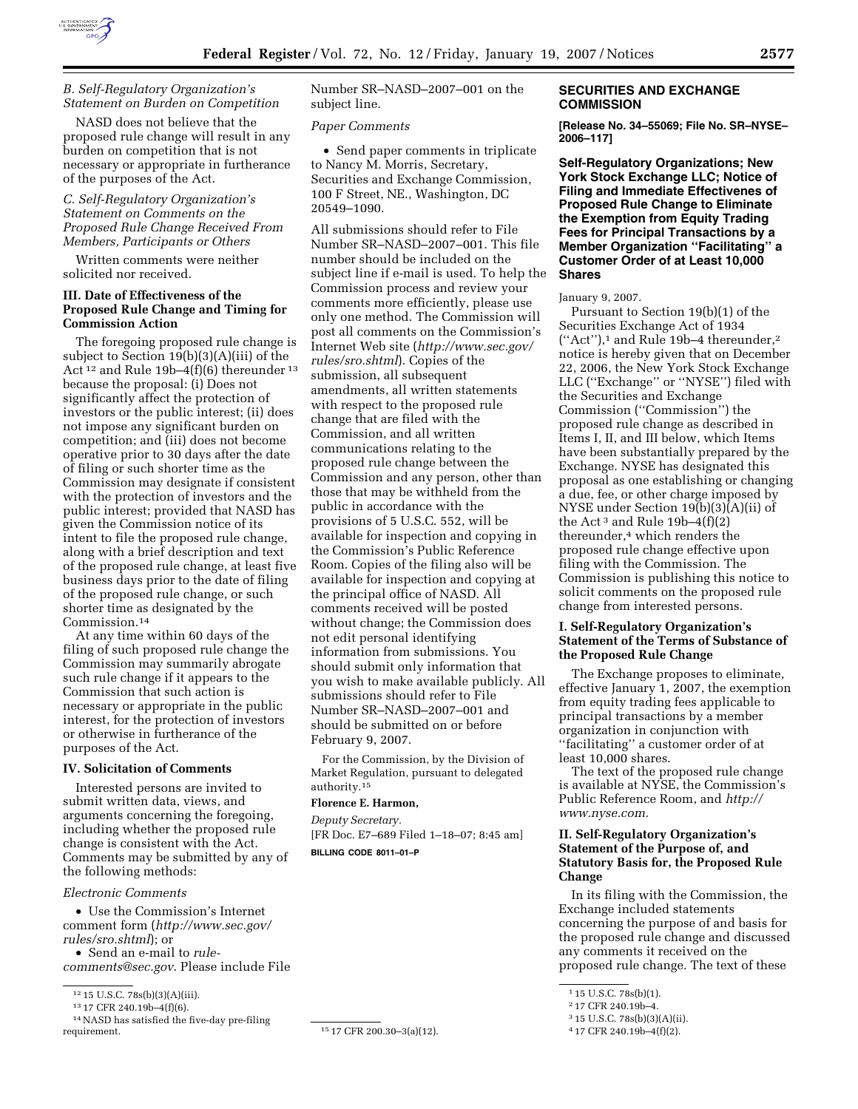

# *B. Self-Regulatory Organization's Statement on Burden on Competition*

NASD does not believe that the proposed rule change will result in any burden on competition that is not necessary or appropriate in furtherance of the purposes of the Act.

# *C. Self-Regulatory Organization's Statement on Comments on the Proposed Rule Change Received From Members, Participants or Others*

Written comments were neither solicited nor received.

# **III. Date of Effectiveness of the Proposed Rule Change and Timing for Commission Action**

The foregoing proposed rule change is subject to Section 19(b)(3)(A)(iii) of the Act 12 and Rule 19b–4(f)(6) thereunder 13 because the proposal: (i) Does not significantly affect the protection of investors or the public interest; (ii) does not impose any significant burden on competition; and (iii) does not become operative prior to 30 days after the date of filing or such shorter time as the Commission may designate if consistent with the protection of investors and the public interest; provided that NASD has given the Commission notice of its intent to file the proposed rule change, along with a brief description and text of the proposed rule change, at least five business days prior to the date of filing of the proposed rule change, or such shorter time as designated by the Commission.14

At any time within 60 days of the filing of such proposed rule change the Commission may summarily abrogate such rule change if it appears to the Commission that such action is necessary or appropriate in the public interest, for the protection of investors or otherwise in furtherance of the purposes of the Act.

#### **IV. Solicitation of Comments**

Interested persons are invited to submit written data, views, and arguments concerning the foregoing, including whether the proposed rule change is consistent with the Act. Comments may be submitted by any of the following methods:

# *Electronic Comments*

• Use the Commission's Internet comment form (*http://www.sec.gov/ rules/sro.shtml*); or

• Send an e-mail to *rule-*

*comments@sec.gov*. Please include File

 $^{14}\rm{NASD}$  has satisfied the five-day pre-filing requirement.

Number SR–NASD–2007–001 on the subject line.

### *Paper Comments*

• Send paper comments in triplicate to Nancy M. Morris, Secretary, Securities and Exchange Commission, 100 F Street, NE., Washington, DC 20549–1090.

All submissions should refer to File Number SR–NASD–2007–001. This file number should be included on the subject line if e-mail is used. To help the Commission process and review your comments more efficiently, please use only one method. The Commission will post all comments on the Commission's Internet Web site (*http://www.sec.gov/ rules/sro.shtml*). Copies of the submission, all subsequent amendments, all written statements with respect to the proposed rule change that are filed with the Commission, and all written communications relating to the proposed rule change between the Commission and any person, other than those that may be withheld from the public in accordance with the provisions of 5 U.S.C. 552, will be available for inspection and copying in the Commission's Public Reference Room. Copies of the filing also will be available for inspection and copying at the principal office of NASD. All comments received will be posted without change; the Commission does not edit personal identifying information from submissions. You should submit only information that you wish to make available publicly. All submissions should refer to File Number SR–NASD–2007–001 and should be submitted on or before February 9, 2007.

For the Commission, by the Division of Market Regulation, pursuant to delegated authority.15

# **Florence E. Harmon,**

*Deputy Secretary.*  [FR Doc. E7–689 Filed 1–18–07; 8:45 am] **BILLING CODE 8011–01–P** 

### **SECURITIES AND EXCHANGE COMMISSION**

**[Release No. 34–55069; File No. SR–NYSE– 2006–117]** 

**Self-Regulatory Organizations; New York Stock Exchange LLC; Notice of Filing and Immediate Effectivenes of Proposed Rule Change to Eliminate the Exemption from Equity Trading Fees for Principal Transactions by a Member Organization ''Facilitating'' a Customer Order of at Least 10,000 Shares** 

### January 9, 2007.

Pursuant to Section 19(b)(1) of the Securities Exchange Act of 1934 (''Act''),1 and Rule 19b–4 thereunder,2 notice is hereby given that on December 22, 2006, the New York Stock Exchange LLC (''Exchange'' or ''NYSE'') filed with the Securities and Exchange Commission (''Commission'') the proposed rule change as described in Items I, II, and III below, which Items have been substantially prepared by the Exchange. NYSE has designated this proposal as one establishing or changing a due, fee, or other charge imposed by NYSE under Section 19(b)(3)(A)(ii) of the Act<sup>3</sup> and Rule  $19b-4(f)(2)$ thereunder,4 which renders the proposed rule change effective upon filing with the Commission. The Commission is publishing this notice to solicit comments on the proposed rule change from interested persons.

# **I. Self-Regulatory Organization's Statement of the Terms of Substance of the Proposed Rule Change**

The Exchange proposes to eliminate, effective January 1, 2007, the exemption from equity trading fees applicable to principal transactions by a member organization in conjunction with ''facilitating'' a customer order of at least 10,000 shares.

The text of the proposed rule change is available at NYSE, the Commission's Public Reference Room, and *http:// www.nyse.com.* 

# **II. Self-Regulatory Organization's Statement of the Purpose of, and Statutory Basis for, the Proposed Rule Change**

In its filing with the Commission, the Exchange included statements concerning the purpose of and basis for the proposed rule change and discussed any comments it received on the proposed rule change. The text of these

<sup>12</sup> 15 U.S.C. 78s(b)(3)(A)(iii).

<sup>13</sup> 17 CFR 240.19b–4(f)(6).

<sup>15 17</sup> CFR 200.30-3(a)(12).

<sup>1</sup> 15 U.S.C. 78s(b)(1).

<sup>2</sup> 17 CFR 240.19b–4.

<sup>3</sup> 15 U.S.C. 78s(b)(3)(A)(ii).

<sup>4</sup> 17 CFR 240.19b–4(f)(2).